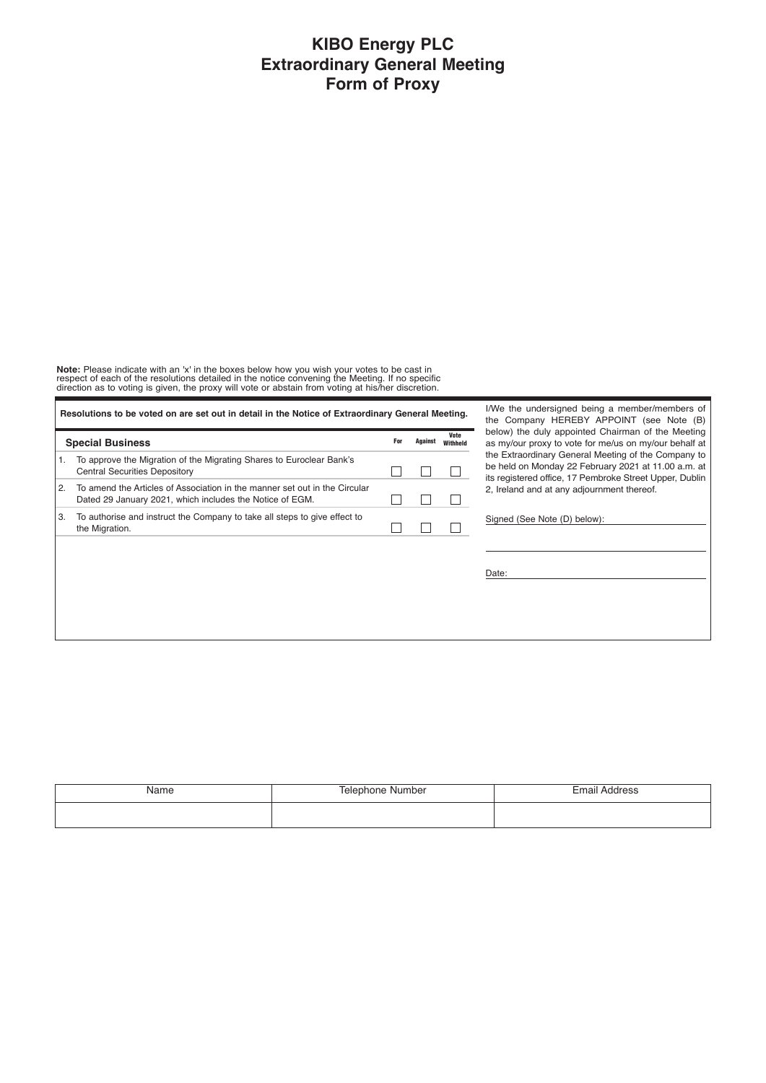## **KIBO Energy PLC Extraordinary General Meeting Form of Proxy**

**Note:** Please indicate with an 'x' in the boxes below how you wish your votes to be cast in<br>respect of each of the resolutions detailed in the notice convening the Meeting. If no specific<br>direction as to voting is given,

| Resolutions to be voted on are set out in detail in the Notice of Extraordinary General Meeting. |                                                                                                                                        |     |         |                  |  |
|--------------------------------------------------------------------------------------------------|----------------------------------------------------------------------------------------------------------------------------------------|-----|---------|------------------|--|
|                                                                                                  | <b>Special Business</b>                                                                                                                | For | Against | Vote<br>Withheld |  |
| 1.                                                                                               | To approve the Migration of the Migrating Shares to Euroclear Bank's<br><b>Central Securities Depository</b>                           |     |         |                  |  |
| 2.                                                                                               | To amend the Articles of Association in the manner set out in the Circular<br>Dated 29 January 2021, which includes the Notice of EGM. |     |         |                  |  |
| З.                                                                                               | To authorise and instruct the Company to take all steps to give effect to<br>the Migration.                                            |     |         |                  |  |

I/We the undersigned being a member/members of the Company HEREBY APPOINT (see Note (B) below) the duly appointed Chairman of the Meeting as my/our proxy to vote for me/us on my/our behalf at the Extraordinary General Meeting of the Company to be held on Monday 22 February 2021 at 11.00 a.m. at its registered office, 17 Pembroke Street Upper, Dublin 2, Ireland and at any adjournment thereof.

Signed (See Note (D) below):

Date:

| Name | Telephone Number | <b>Email Address</b> |
|------|------------------|----------------------|
|      |                  |                      |